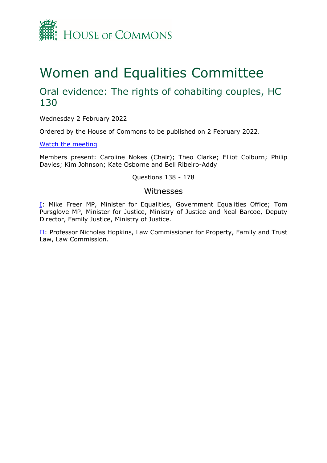

# Women and Equalities Committee

## Oral evidence: The rights of cohabiting couples, HC 130

Wednesday 2 February 2022

Ordered by the House of Commons to be published on 2 February 2022.

[Watch](https://parliamentlive.tv/Event/Index/55aac138-c255-4d74-a2da-caa4ccc7ca6a) [the](https://parliamentlive.tv/Event/Index/55aac138-c255-4d74-a2da-caa4ccc7ca6a) [meeting](https://parliamentlive.tv/Event/Index/55aac138-c255-4d74-a2da-caa4ccc7ca6a)

Members present: Caroline Nokes (Chair); Theo Clarke; Elliot Colburn; Philip Davies; Kim Johnson; Kate Osborne and Bell Ribeiro-Addy

Questions 138 - 178

#### Witnesses

[I:](#page-1-0) Mike Freer MP, Minister for Equalities, Government Equalities Office; Tom Pursglove MP, Minister for Justice, Ministry of Justice and Neal Barcoe, Deputy Director, Family Justice, Ministry of Justice.

II: Professor Nicholas Hopkins, Law Commissioner for Property, Family and Trust Law, Law Commission.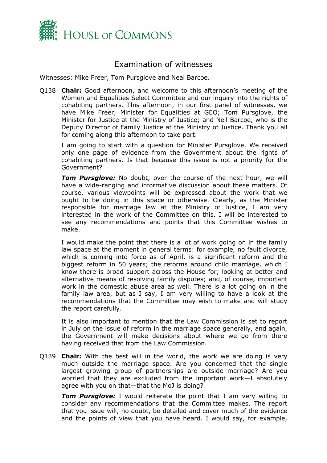

### <span id="page-1-0"></span>Examination of witnesses

Witnesses: Mike Freer, Tom Pursglove and Neal Barcoe.

Q138 **Chair:** Good afternoon, and welcome to this afternoon's meeting of the Women and Equalities Select Committee and our inquiry into the rights of cohabiting partners. This afternoon, in our first panel of witnesses, we have Mike Freer, Minister for Equalities at GEO; Tom Pursglove, the Minister for Justice at the Ministry of Justice; and Neil Barcoe, who is the Deputy Director of Family Justice at the Ministry of Justice. Thank you all for coming along this afternoon to take part.

I am going to start with a question for Minister Pursglove. We received only one page of evidence from the Government about the rights of cohabiting partners. Is that because this issue is not a priority for the Government?

**Tom Pursglove:** No doubt, over the course of the next hour, we will have a wide-ranging and informative discussion about these matters. Of course, various viewpoints will be expressed about the work that we ought to be doing in this space or otherwise. Clearly, as the Minister responsible for marriage law at the Ministry of Justice, I am very interested in the work of the Committee on this. I will be interested to see any recommendations and points that this Committee wishes to make.

I would make the point that there is a lot of work going on in the family law space at the moment in general terms: for example, no fault divorce, which is coming into force as of April, is a significant reform and the biggest reform in 50 years; the reforms around child marriage, which I know there is broad support across the House for; looking at better and alternative means of resolving family disputes; and, of course, important work in the domestic abuse area as well. There is a lot going on in the family law area, but as I say, I am very willing to have a look at the recommendations that the Committee may wish to make and will study the report carefully.

It is also important to mention that the Law Commission is set to report in July on the issue of reform in the marriage space generally, and again, the Government will make decisions about where we go from there having received that from the Law Commission.

Q139 **Chair:** With the best will in the world, the work we are doing is very much outside the marriage space. Are you concerned that the single largest growing group of partnerships are outside marriage? Are you worried that they are excluded from the important work—I absolutely agree with you on that—that the MoJ is doing?

**Tom Pursglove:** I would reiterate the point that I am very willing to consider any recommendations that the Committee makes. The report that you issue will, no doubt, be detailed and cover much of the evidence and the points of view that you have heard. I would say, for example,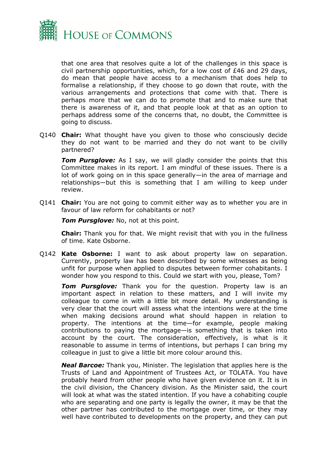

that one area that resolves quite a lot of the challenges in this space is civil partnership opportunities, which, for a low cost of £46 and 29 days, do mean that people have access to a mechanism that does help to formalise a relationship, if they choose to go down that route, with the various arrangements and protections that come with that. There is perhaps more that we can do to promote that and to make sure that there is awareness of it, and that people look at that as an option to perhaps address some of the concerns that, no doubt, the Committee is going to discuss.

Q140 **Chair:** What thought have you given to those who consciously decide they do not want to be married and they do not want to be civilly partnered?

**Tom Pursglove:** As I say, we will gladly consider the points that this Committee makes in its report. I am mindful of these issues. There is a lot of work going on in this space generally—in the area of marriage and relationships—but this is something that I am willing to keep under review.

Q141 **Chair:** You are not going to commit either way as to whether you are in favour of law reform for cohabitants or not?

*Tom Pursglove:* No, not at this point.

**Chair:** Thank you for that. We might revisit that with you in the fullness of time. Kate Osborne.

Q142 **Kate Osborne:** I want to ask about property law on separation. Currently, property law has been described by some witnesses as being unfit for purpose when applied to disputes between former cohabitants. I wonder how you respond to this. Could we start with you, please, Tom?

*Tom Pursglove:* Thank you for the question. Property law is an important aspect in relation to these matters, and I will invite my colleague to come in with a little bit more detail. My understanding is very clear that the court will assess what the intentions were at the time when making decisions around what should happen in relation to property. The intentions at the time—for example, people making contributions to paying the mortgage—is something that is taken into account by the court. The consideration, effectively, is what is it reasonable to assume in terms of intentions, but perhaps I can bring my colleague in just to give a little bit more colour around this.

*Neal Barcoe:* Thank you, Minister. The legislation that applies here is the Trusts of Land and Appointment of Trustees Act, or TOLATA. You have probably heard from other people who have given evidence on it. It is in the civil division, the Chancery division. As the Minister said, the court will look at what was the stated intention. If you have a cohabiting couple who are separating and one party is legally the owner, it may be that the other partner has contributed to the mortgage over time, or they may well have contributed to developments on the property, and they can put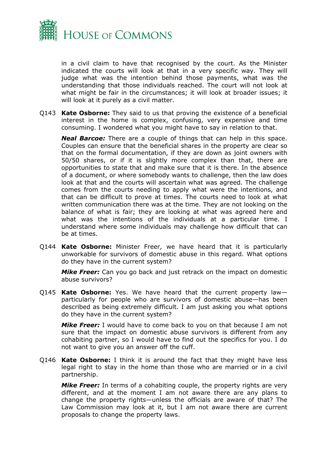

in a civil claim to have that recognised by the court. As the Minister indicated the courts will look at that in a very specific way. They will judge what was the intention behind those payments, what was the understanding that those individuals reached. The court will not look at what might be fair in the circumstances; it will look at broader issues; it will look at it purely as a civil matter.

Q143 **Kate Osborne:** They said to us that proving the existence of a beneficial interest in the home is complex, confusing, very expensive and time consuming. I wondered what you might have to say in relation to that.

*Neal Barcoe:* There are a couple of things that can help in this space. Couples can ensure that the beneficial shares in the property are clear so that on the formal documentation, if they are down as joint owners with 50/50 shares, or if it is slightly more complex than that, there are opportunities to state that and make sure that it is there. In the absence of a document, or where somebody wants to challenge, then the law does look at that and the courts will ascertain what was agreed. The challenge comes from the courts needing to apply what were the intentions, and that can be difficult to prove at times. The courts need to look at what written communication there was at the time. They are not looking on the balance of what is fair; they are looking at what was agreed here and what was the intentions of the individuals at a particular time. I understand where some individuals may challenge how difficult that can be at times.

Q144 **Kate Osborne:** Minister Freer, we have heard that it is particularly unworkable for survivors of domestic abuse in this regard. What options do they have in the current system?

*Mike Freer:* Can you go back and just retrack on the impact on domestic abuse survivors?

Q145 **Kate Osborne:** Yes. We have heard that the current property law particularly for people who are survivors of domestic abuse—has been described as being extremely difficult. I am just asking you what options do they have in the current system?

*Mike Freer:* I would have to come back to you on that because I am not sure that the impact on domestic abuse survivors is different from any cohabiting partner, so I would have to find out the specifics for you. I do not want to give you an answer off the cuff.

Q146 **Kate Osborne:** I think it is around the fact that they might have less legal right to stay in the home than those who are married or in a civil partnership.

*Mike Freer:* In terms of a cohabiting couple, the property rights are very different, and at the moment I am not aware there are any plans to change the property rights—unless the officials are aware of that? The Law Commission may look at it, but I am not aware there are current proposals to change the property laws.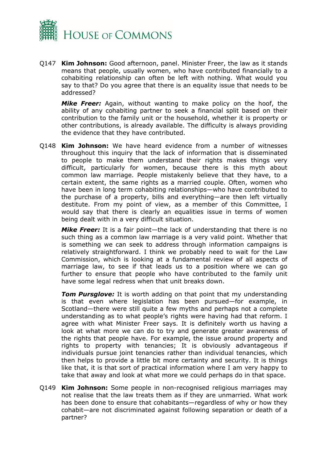

Q147 **Kim Johnson:** Good afternoon, panel. Minister Freer, the law as it stands means that people, usually women, who have contributed financially to a cohabiting relationship can often be left with nothing. What would you say to that? Do you agree that there is an equality issue that needs to be addressed?

*Mike Freer:* Again, without wanting to make policy on the hoof, the ability of any cohabiting partner to seek a financial split based on their contribution to the family unit or the household, whether it is property or other contributions, is already available. The difficulty is always providing the evidence that they have contributed.

Q148 **Kim Johnson:** We have heard evidence from a number of witnesses throughout this inquiry that the lack of information that is disseminated to people to make them understand their rights makes things very difficult, particularly for women, because there is this myth about common law marriage. People mistakenly believe that they have, to a certain extent, the same rights as a married couple. Often, women who have been in long term cohabiting relationships—who have contributed to the purchase of a property, bills and everything—are then left virtually destitute. From my point of view, as a member of this Committee, I would say that there is clearly an equalities issue in terms of women being dealt with in a very difficult situation.

*Mike Freer:* It is a fair point—the lack of understanding that there is no such thing as a common law marriage is a very valid point. Whether that is something we can seek to address through information campaigns is relatively straightforward. I think we probably need to wait for the Law Commission, which is looking at a fundamental review of all aspects of marriage law, to see if that leads us to a position where we can go further to ensure that people who have contributed to the family unit have some legal redress when that unit breaks down.

*Tom Pursglove:* It is worth adding on that point that my understanding is that even where legislation has been pursued—for example, in Scotland—there were still quite a few myths and perhaps not a complete understanding as to what people's rights were having had that reform. I agree with what Minister Freer says. It is definitely worth us having a look at what more we can do to try and generate greater awareness of the rights that people have. For example, the issue around property and rights to property with tenancies; It is obviously advantageous if individuals pursue joint tenancies rather than individual tenancies, which then helps to provide a little bit more certainty and security. It is things like that, it is that sort of practical information where I am very happy to take that away and look at what more we could perhaps do in that space.

Q149 **Kim Johnson:** Some people in non-recognised religious marriages may not realise that the law treats them as if they are unmarried. What work has been done to ensure that cohabitants—regardless of why or how they cohabit—are not discriminated against following separation or death of a partner?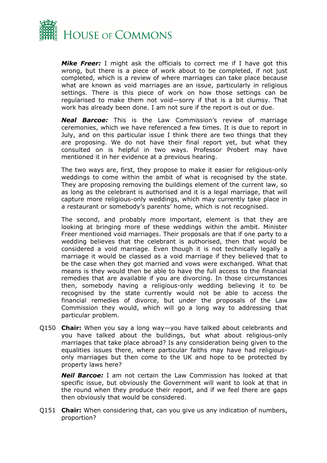

*Mike Freer:* I might ask the officials to correct me if I have got this wrong, but there is a piece of work about to be completed, if not just completed, which is a review of where marriages can take place because what are known as void marriages are an issue, particularly in religious settings. There is this piece of work on how those settings can be regularised to make them not void—sorry if that is a bit clumsy. That work has already been done. I am not sure if the report is out or due.

*Neal Barcoe:* This is the Law Commission's review of marriage ceremonies, which we have referenced a few times. It is due to report in July, and on this particular issue I think there are two things that they are proposing. We do not have their final report yet, but what they consulted on is helpful in two ways. Professor Probert may have mentioned it in her evidence at a previous hearing.

The two ways are, first, they propose to make it easier for religious-only weddings to come within the ambit of what is recognised by the state. They are proposing removing the buildings element of the current law, so as long as the celebrant is authorised and it is a legal marriage, that will capture more religious-only weddings, which may currently take place in a restaurant or somebody's parents' home, which is not recognised.

The second, and probably more important, element is that they are looking at bringing more of these weddings within the ambit. Minister Freer mentioned void marriages. Their proposals are that if one party to a wedding believes that the celebrant is authorised, then that would be considered a void marriage. Even though it is not technically legally a marriage it would be classed as a void marriage if they believed that to be the case when they got married and vows were exchanged. What that means is they would then be able to have the full access to the financial remedies that are available if you are divorcing. In those circumstances then, somebody having a religious-only wedding believing it to be recognised by the state currently would not be able to access the financial remedies of divorce, but under the proposals of the Law Commission they would, which will go a long way to addressing that particular problem.

Q150 **Chair:** When you say a long way—you have talked about celebrants and you have talked about the buildings, but what about religious-only marriages that take place abroad? Is any consideration being given to the equalities issues there, where particular faiths may have had religiousonly marriages but then come to the UK and hope to be protected by property laws here?

*Neil Barcoe:* I am not certain the Law Commission has looked at that specific issue, but obviously the Government will want to look at that in the round when they produce their report, and if we feel there are gaps then obviously that would be considered.

Q151 **Chair:** When considering that, can you give us any indication of numbers, proportion?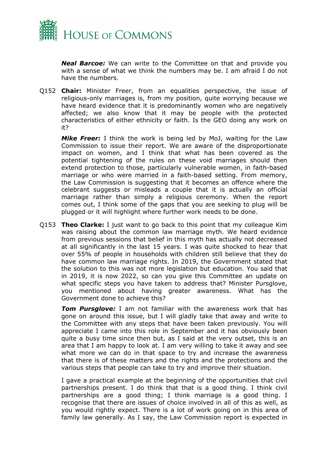

*Neal Barcoe:* We can write to the Committee on that and provide you with a sense of what we think the numbers may be. I am afraid I do not have the numbers.

Q152 **Chair:** Minister Freer, from an equalities perspective, the issue of religious-only marriages is, from my position, quite worrying because we have heard evidence that it is predominantly women who are negatively affected; we also know that it may be people with the protected characteristics of either ethnicity or faith. Is the GEO doing any work on it?

*Mike Freer:* I think the work is being led by MoJ, waiting for the Law Commission to issue their report. We are aware of the disproportionate impact on women, and I think that what has been covered as the potential tightening of the rules on these void marriages should then extend protection to those, particularly vulnerable women, in faith-based marriage or who were married in a faith-based setting. From memory, the Law Commission is suggesting that it becomes an offence where the celebrant suggests or misleads a couple that it is actually an official marriage rather than simply a religious ceremony. When the report comes out, I think some of the gaps that you are seeking to plug will be plugged or it will highlight where further work needs to be done.

Q153 **Theo Clarke:** I just want to go back to this point that my colleague Kim was raising about the common law marriage myth. We heard evidence from previous sessions that belief in this myth has actually not decreased at all significantly in the last 15 years. I was quite shocked to hear that over 55% of people in households with children still believe that they do have common law marriage rights. In 2019, the Government stated that the solution to this was not more legislation but education. You said that in 2019, it is now 2022, so can you give this Committee an update on what specific steps you have taken to address that? Minister Pursglove, you mentioned about having greater awareness. What has the Government done to achieve this?

*Tom Pursglove:* I am not familiar with the awareness work that has gone on around this issue, but I will gladly take that away and write to the Committee with any steps that have been taken previously. You will appreciate I came into this role in September and it has obviously been quite a busy time since then but, as I said at the very outset, this is an area that I am happy to look at. I am very willing to take it away and see what more we can do in that space to try and increase the awareness that there is of these matters and the rights and the protections and the various steps that people can take to try and improve their situation.

I gave a practical example at the beginning of the opportunities that civil partnerships present. I do think that that is a good thing. I think civil partnerships are a good thing; I think marriage is a good thing. I recognise that there are issues of choice involved in all of this as well, as you would rightly expect. There is a lot of work going on in this area of family law generally. As I say, the Law Commission report is expected in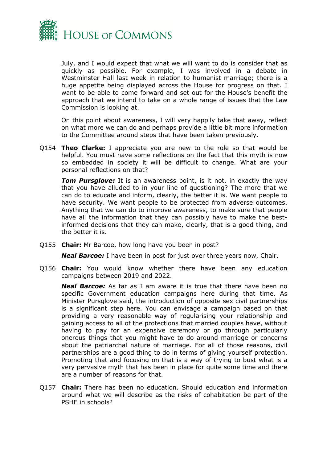

July, and I would expect that what we will want to do is consider that as quickly as possible. For example, I was involved in a debate in Westminster Hall last week in relation to humanist marriage; there is a huge appetite being displayed across the House for progress on that. I want to be able to come forward and set out for the House's benefit the approach that we intend to take on a whole range of issues that the Law Commission is looking at.

On this point about awareness, I will very happily take that away, reflect on what more we can do and perhaps provide a little bit more information to the Committee around steps that have been taken previously.

Q154 **Theo Clarke:** I appreciate you are new to the role so that would be helpful. You must have some reflections on the fact that this myth is now so embedded in society it will be difficult to change. What are your personal reflections on that?

**Tom Pursglove:** It is an awareness point, is it not, in exactly the way that you have alluded to in your line of questioning? The more that we can do to educate and inform, clearly, the better it is. We want people to have security. We want people to be protected from adverse outcomes. Anything that we can do to improve awareness, to make sure that people have all the information that they can possibly have to make the bestinformed decisions that they can make, clearly, that is a good thing, and the better it is.

Q155 **Chair:** Mr Barcoe, how long have you been in post?

*Neal Barcoe:* I have been in post for just over three years now, Chair.

Q156 **Chair:** You would know whether there have been any education campaigns between 2019 and 2022.

*Neal Barcoe:* As far as I am aware it is true that there have been no specific Government education campaigns here during that time. As Minister Pursglove said, the introduction of opposite sex civil partnerships is a significant step here. You can envisage a campaign based on that providing a very reasonable way of regularising your relationship and gaining access to all of the protections that married couples have, without having to pay for an expensive ceremony or go through particularly onerous things that you might have to do around marriage or concerns about the patriarchal nature of marriage. For all of those reasons, civil partnerships are a good thing to do in terms of giving yourself protection. Promoting that and focusing on that is a way of trying to bust what is a very pervasive myth that has been in place for quite some time and there are a number of reasons for that.

Q157 **Chair:** There has been no education. Should education and information around what we will describe as the risks of cohabitation be part of the PSHE in schools?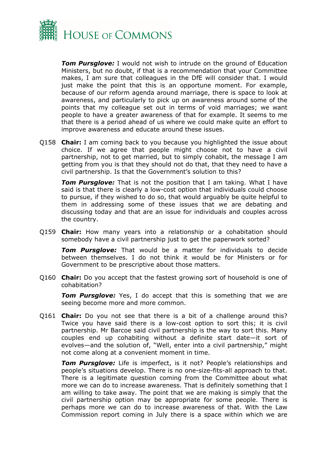

*Tom Pursglove:* I would not wish to intrude on the ground of Education Ministers, but no doubt, if that is a recommendation that your Committee makes, I am sure that colleagues in the DfE will consider that. I would just make the point that this is an opportune moment. For example, because of our reform agenda around marriage, there is space to look at awareness, and particularly to pick up on awareness around some of the points that my colleague set out in terms of void marriages; we want people to have a greater awareness of that for example. It seems to me that there is a period ahead of us where we could make quite an effort to improve awareness and educate around these issues.

Q158 **Chair:** I am coming back to you because you highlighted the issue about choice. If we agree that people might choose not to have a civil partnership, not to get married, but to simply cohabit, the message I am getting from you is that they should not do that, that they need to have a civil partnership. Is that the Government's solution to this?

*Tom Pursglove:* That is not the position that I am taking. What I have said is that there is clearly a low-cost option that individuals could choose to pursue, if they wished to do so, that would arguably be quite helpful to them in addressing some of these issues that we are debating and discussing today and that are an issue for individuals and couples across the country.

Q159 **Chair:** How many years into a relationship or a cohabitation should somebody have a civil partnership just to get the paperwork sorted?

*Tom Pursglove:* That would be a matter for individuals to decide between themselves. I do not think it would be for Ministers or for Government to be prescriptive about those matters.

Q160 **Chair:** Do you accept that the fastest growing sort of household is one of cohabitation?

**Tom Pursglove:** Yes, I do accept that this is something that we are seeing become more and more common.

Q161 **Chair:** Do you not see that there is a bit of a challenge around this? Twice you have said there is a low-cost option to sort this; it is civil partnership. Mr Barcoe said civil partnership is the way to sort this. Many couples end up cohabiting without a definite start date—it sort of evolves—and the solution of, "Well, enter into a civil partnership," might not come along at a convenient moment in time.

*Tom Pursglove:* Life is imperfect, is it not? People's relationships and people's situations develop. There is no one-size-fits-all approach to that. There is a legitimate question coming from the Committee about what more we can do to increase awareness. That is definitely something that I am willing to take away. The point that we are making is simply that the civil partnership option may be appropriate for some people. There is perhaps more we can do to increase awareness of that. With the Law Commission report coming in July there is a space within which we are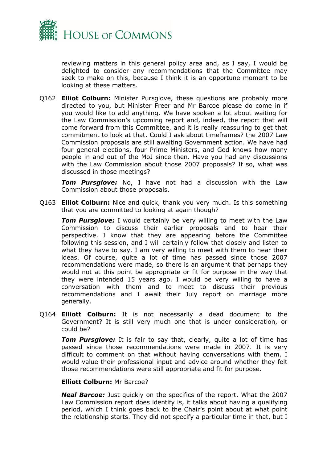

reviewing matters in this general policy area and, as I say, I would be delighted to consider any recommendations that the Committee may seek to make on this, because I think it is an opportune moment to be looking at these matters.

Q162 **Elliot Colburn:** Minister Pursglove, these questions are probably more directed to you, but Minister Freer and Mr Barcoe please do come in if you would like to add anything. We have spoken a lot about waiting for the Law Commission's upcoming report and, indeed, the report that will come forward from this Committee, and it is really reassuring to get that commitment to look at that. Could I ask about timeframes? the 2007 Law Commission proposals are still awaiting Government action. We have had four general elections, four Prime Ministers, and God knows how many people in and out of the MoJ since then. Have you had any discussions with the Law Commission about those 2007 proposals? If so, what was discussed in those meetings?

*Tom Pursglove:* No, I have not had a discussion with the Law Commission about those proposals.

Q163 **Elliot Colburn:** Nice and quick, thank you very much. Is this something that you are committed to looking at again though?

*Tom Pursglove:* I would certainly be very willing to meet with the Law Commission to discuss their earlier proposals and to hear their perspective. I know that they are appearing before the Committee following this session, and I will certainly follow that closely and listen to what they have to say. I am very willing to meet with them to hear their ideas. Of course, quite a lot of time has passed since those 2007 recommendations were made, so there is an argument that perhaps they would not at this point be appropriate or fit for purpose in the way that they were intended 15 years ago. I would be very willing to have a conversation with them and to meet to discuss their previous recommendations and I await their July report on marriage more generally.

Q164 **Elliott Colburn:** It is not necessarily a dead document to the Government? It is still very much one that is under consideration, or could be?

**Tom Pursglove:** It is fair to say that, clearly, quite a lot of time has passed since those recommendations were made in 2007. It is very difficult to comment on that without having conversations with them. I would value their professional input and advice around whether they felt those recommendations were still appropriate and fit for purpose.

#### **Elliott Colburn:** Mr Barcoe?

*Neal Barcoe:* Just quickly on the specifics of the report. What the 2007 Law Commission report does identify is, it talks about having a qualifying period, which I think goes back to the Chair's point about at what point the relationship starts. They did not specify a particular time in that, but I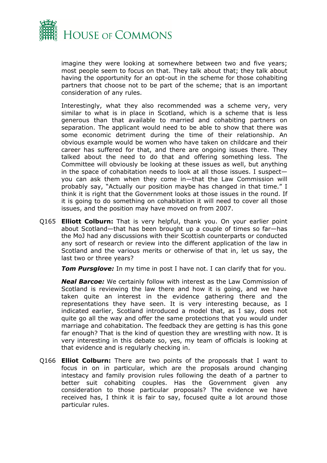

imagine they were looking at somewhere between two and five years; most people seem to focus on that. They talk about that; they talk about having the opportunity for an opt-out in the scheme for those cohabiting partners that choose not to be part of the scheme; that is an important consideration of any rules.

Interestingly, what they also recommended was a scheme very, very similar to what is in place in Scotland, which is a scheme that is less generous than that available to married and cohabiting partners on separation. The applicant would need to be able to show that there was some economic detriment during the time of their relationship. An obvious example would be women who have taken on childcare and their career has suffered for that, and there are ongoing issues there. They talked about the need to do that and offering something less. The Committee will obviously be looking at these issues as well, but anything in the space of cohabitation needs to look at all those issues. I suspect you can ask them when they come in—that the Law Commission will probably say, "Actually our position maybe has changed in that time." I think it is right that the Government looks at those issues in the round. If it is going to do something on cohabitation it will need to cover all those issues, and the position may have moved on from 2007.

Q165 **Elliott Colburn:** That is very helpful, thank you. On your earlier point about Scotland—that has been brought up a couple of times so far—has the MoJ had any discussions with their Scottish counterparts or conducted any sort of research or review into the different application of the law in Scotland and the various merits or otherwise of that in, let us say, the last two or three years?

*Tom Pursglove:* In my time in post I have not. I can clarify that for you.

*Neal Barcoe:* We certainly follow with interest as the Law Commission of Scotland is reviewing the law there and how it is going, and we have taken quite an interest in the evidence gathering there and the representations they have seen. It is very interesting because, as I indicated earlier, Scotland introduced a model that, as I say, does not quite go all the way and offer the same protections that you would under marriage and cohabitation. The feedback they are getting is has this gone far enough? That is the kind of question they are wrestling with now. It is very interesting in this debate so, yes, my team of officials is looking at that evidence and is regularly checking in.

Q166 **Elliot Colburn:** There are two points of the proposals that I want to focus in on in particular, which are the proposals around changing intestacy and family provision rules following the death of a partner to better suit cohabiting couples. Has the Government given any consideration to those particular proposals? The evidence we have received has, I think it is fair to say, focused quite a lot around those particular rules.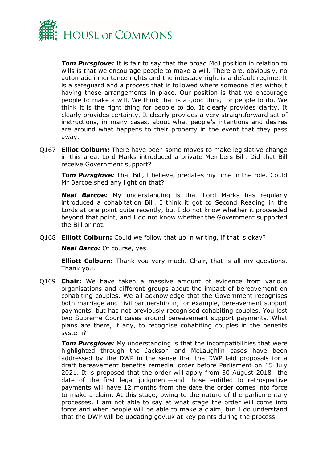

*Tom Pursglove:* It is fair to say that the broad MoJ position in relation to wills is that we encourage people to make a will. There are, obviously, no automatic inheritance rights and the intestacy right is a default regime. It is a safeguard and a process that is followed where someone dies without having those arrangements in place. Our position is that we encourage people to make a will. We think that is a good thing for people to do. We think it is the right thing for people to do. It clearly provides clarity. It clearly provides certainty. It clearly provides a very straightforward set of instructions, in many cases, about what people's intentions and desires are around what happens to their property in the event that they pass away.

Q167 **Elliot Colburn:** There have been some moves to make legislative change in this area. Lord Marks introduced a private Members Bill. Did that Bill receive Government support?

**Tom Pursglove:** That Bill, I believe, predates my time in the role. Could Mr Barcoe shed any light on that?

*Neal Barcoe:* My understanding is that Lord Marks has regularly introduced a cohabitation Bill. I think it got to Second Reading in the Lords at one point quite recently, but I do not know whether it proceeded beyond that point, and I do not know whether the Government supported the Bill or not.

Q168 **Elliott Colburn:** Could we follow that up in writing, if that is okay?

*Neal Barco:* Of course, yes.

**Elliott Colburn:** Thank you very much. Chair, that is all my questions. Thank you.

Q169 **Chair:** We have taken a massive amount of evidence from various organisations and different groups about the impact of bereavement on cohabiting couples. We all acknowledge that the Government recognises both marriage and civil partnership in, for example, bereavement support payments, but has not previously recognised cohabiting couples. You lost two Supreme Court cases around bereavement support payments. What plans are there, if any, to recognise cohabiting couples in the benefits system?

**Tom Pursglove:** My understanding is that the incompatibilities that were highlighted through the Jackson and McLaughlin cases have been addressed by the DWP in the sense that the DWP laid proposals for a draft bereavement benefits remedial order before Parliament on 15 July 2021. It is proposed that the order will apply from 30 August 2018—the date of the first legal judgment—and those entitled to retrospective payments will have 12 months from the date the order comes into force to make a claim. At this stage, owing to the nature of the parliamentary processes, I am not able to say at what stage the order will come into force and when people will be able to make a claim, but I do understand that the DWP will be updating gov.uk at key points during the process.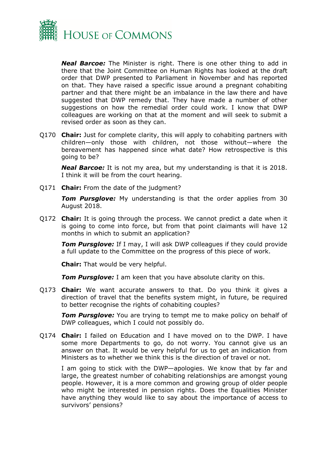

*Neal Barcoe:* The Minister is right. There is one other thing to add in there that the Joint Committee on Human Rights has looked at the draft order that DWP presented to Parliament in November and has reported on that. They have raised a specific issue around a pregnant cohabiting partner and that there might be an imbalance in the law there and have suggested that DWP remedy that. They have made a number of other suggestions on how the remedial order could work. I know that DWP colleagues are working on that at the moment and will seek to submit a revised order as soon as they can.

Q170 **Chair:** Just for complete clarity, this will apply to cohabiting partners with children—only those with children, not those without—where the bereavement has happened since what date? How retrospective is this going to be?

*Neal Barcoe:* It is not my area, but my understanding is that it is 2018. I think it will be from the court hearing.

Q171 **Chair:** From the date of the judgment?

**Tom Pursglove:** My understanding is that the order applies from 30 August 2018.

Q172 **Chair:** It is going through the process. We cannot predict a date when it is going to come into force, but from that point claimants will have 12 months in which to submit an application?

*Tom Pursglove:* If I may, I will ask DWP colleagues if they could provide a full update to the Committee on the progress of this piece of work.

**Chair:** That would be very helpful.

*Tom Pursglove:* I am keen that you have absolute clarity on this.

Q173 **Chair:** We want accurate answers to that. Do you think it gives a direction of travel that the benefits system might, in future, be required to better recognise the rights of cohabiting couples?

**Tom Pursglove:** You are trying to tempt me to make policy on behalf of DWP colleagues, which I could not possibly do.

Q174 **Chair:** I failed on Education and I have moved on to the DWP. I have some more Departments to go, do not worry. You cannot give us an answer on that. It would be very helpful for us to get an indication from Ministers as to whether we think this is the direction of travel or not.

I am going to stick with the DWP—apologies. We know that by far and large, the greatest number of cohabiting relationships are amongst young people. However, it is a more common and growing group of older people who might be interested in pension rights. Does the Equalities Minister have anything they would like to say about the importance of access to survivors' pensions?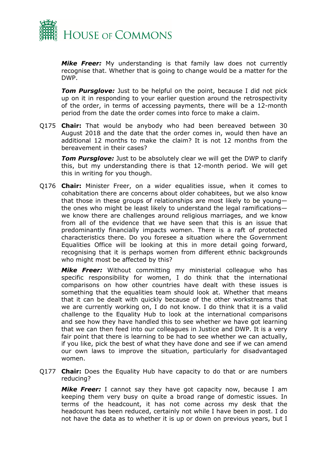

*Mike Freer:* My understanding is that family law does not currently recognise that. Whether that is going to change would be a matter for the DWP.

**Tom Pursglove:** Just to be helpful on the point, because I did not pick up on it in responding to your earlier question around the retrospectivity of the order, in terms of accessing payments, there will be a 12-month period from the date the order comes into force to make a claim.

Q175 **Chair:** That would be anybody who had been bereaved between 30 August 2018 and the date that the order comes in, would then have an additional 12 months to make the claim? It is not 12 months from the bereavement in their cases?

*Tom Pursglove:* Just to be absolutely clear we will get the DWP to clarify this, but my understanding there is that 12-month period. We will get this in writing for you though.

Q176 **Chair:** Minister Freer, on a wider equalities issue, when it comes to cohabitation there are concerns about older cohabitees, but we also know that those in these groups of relationships are most likely to be young the ones who might be least likely to understand the legal ramifications we know there are challenges around religious marriages, and we know from all of the evidence that we have seen that this is an issue that predominantly financially impacts women. There is a raft of protected characteristics there. Do you foresee a situation where the Government Equalities Office will be looking at this in more detail going forward, recognising that it is perhaps women from different ethnic backgrounds who might most be affected by this?

*Mike Freer:* Without committing my ministerial colleague who has specific responsibility for women, I do think that the international comparisons on how other countries have dealt with these issues is something that the equalities team should look at. Whether that means that it can be dealt with quickly because of the other workstreams that we are currently working on, I do not know. I do think that it is a valid challenge to the Equality Hub to look at the international comparisons and see how they have handled this to see whether we have got learning that we can then feed into our colleagues in Justice and DWP. It is a very fair point that there is learning to be had to see whether we can actually, if you like, pick the best of what they have done and see if we can amend our own laws to improve the situation, particularly for disadvantaged women.

Q177 **Chair:** Does the Equality Hub have capacity to do that or are numbers reducing?

*Mike Freer:* I cannot say they have got capacity now, because I am keeping them very busy on quite a broad range of domestic issues. In terms of the headcount, it has not come across my desk that the headcount has been reduced, certainly not while I have been in post. I do not have the data as to whether it is up or down on previous years, but I